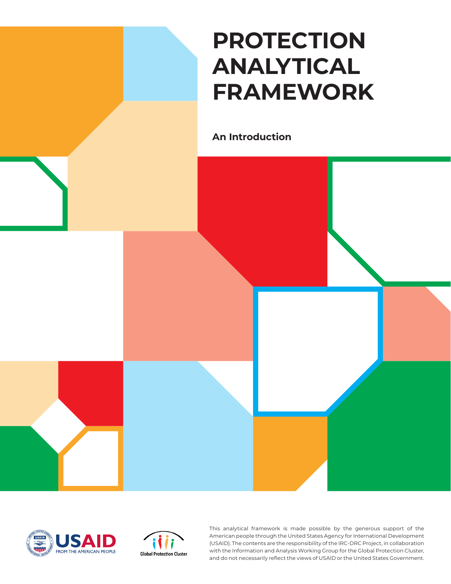# **PROTECTION ANALYTICAL FRAMEWORK**

**An Introduction**







This analytical framework is made possible by the generous support of the American people through the United States Agency for International Development (USAID). The contents are the responsibility of the IRC-DRC Project, in collaboration with the Information and Analysis Working Group for the Global Protection Cluster, and do not necessarily reflect the views of USAID or the United States Government.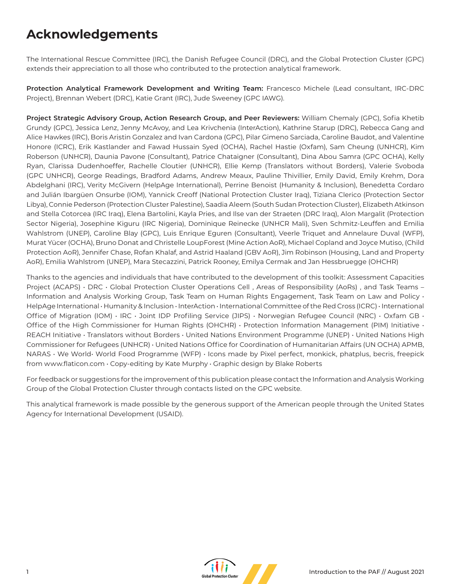## **Acknowledgements**

The International Rescue Committee (IRC), the Danish Refugee Council (DRC), and the Global Protection Cluster (GPC) extends their appreciation to all those who contributed to the protection analytical framework.

**Protection Analytical Framework Development and Writing Team:** Francesco Michele (Lead consultant, IRC-DRC Project), Brennan Webert (DRC), Katie Grant (IRC), Jude Sweeney (GPC IAWG).

**Project Strategic Advisory Group, Action Research Group, and Peer Reviewers:** William Chemaly (GPC), Sofia Khetib Grundy (GPC), Jessica Lenz, Jenny McAvoy, and Lea Krivchenia (InterAction), Kathrine Starup (DRC), Rebecca Gang and Alice Hawkes (IRC), Boris Aristin Gonzalez and Ivan Cardona (GPC), Pilar Gimeno Sarciada, Caroline Baudot, and Valentine Honore (ICRC), Erik Kastlander and Fawad Hussain Syed (OCHA), Rachel Hastie (Oxfam), Sam Cheung (UNHCR), Kim Roberson (UNHCR), Daunia Pavone (Consultant), Patrice Chataigner (Consultant), Dina Abou Samra (GPC OCHA), Kelly Ryan, Clarissa Dudenhoeffer, Rachelle Cloutier (UNHCR), Ellie Kemp (Translators without Borders), Valerie Svoboda (GPC UNHCR), George Readings, Bradford Adams, Andrew Meaux, Pauline Thivillier, Emily David, Emily Krehm, Dora Abdelghani (IRC), Verity McGivern (HelpAge International), Perrine Benoist (Humanity & Inclusion), Benedetta Cordaro and Julián Ibargüen Onsurbe (IOM), Yannick Creoff (National Protection Cluster Iraq), Tiziana Clerico (Protection Sector Libya), Connie Pederson (Protection Cluster Palestine), Saadia Aleem (South Sudan Protection Cluster), Elizabeth Atkinson and Stella Cotorcea (IRC Iraq), Elena Bartolini, Kayla Pries, and Ilse van der Straeten (DRC Iraq), Alon Margalit (Protection Sector Nigeria), Josephine Kiguru (IRC Nigeria), Dominique Reinecke (UNHCR Mali), Sven Schmitz-Leuffen and Emilia Wahlstrom (UNEP), Caroline Blay (GPC), Luis Enrique Eguren (Consultant), Veerle Triquet and Annelaure Duval (WFP), Murat Yücer (OCHA), Bruno Donat and Christelle LoupForest (Mine Action AoR), Michael Copland and Joyce Mutiso, (Child Protection AoR), Jennifer Chase, Rofan Khalaf, and Astrid Haaland (GBV AoR), Jim Robinson (Housing, Land and Property AoR), Emilia Wahlstrom (UNEP), Mara Stecazzini, Patrick Rooney, Emilya Cermak and Jan Hessbruegge (OHCHR)

Thanks to the agencies and individuals that have contributed to the development of this toolkit: Assessment Capacities Project (ACAPS) · DRC · Global Protection Cluster Operations Cell, Areas of Responsibility (AoRs), and Task Teams -Information and Analysis Working Group, Task Team on Human Rights Engagement, Task Team on Law and Policy • HelpAge International • Humanity & Inclusion • InterAction • International Committee of the Red Cross (ICRC) • International Office of Migration (IOM) • IRC • Joint IDP Profiling Service (JIPS) • Norwegian Refugee Council (NRC) • Oxfam GB • Office of the High Commissioner for Human Rights (OHCHR) · Protection Information Management (PIM) Initiative · REACH Initiative • Translators without Borders • United Nations Environment Programme (UNEP) • United Nations High Commissioner for Refugees (UNHCR) • United Nations Office for Coordination of Humanitarian Affairs (UN OCHA) APMB, NARAS • We World• World Food Programme (WFP) • Icons made by Pixel perfect, monkick, phatplus, becris, freepick from www.flaticon.com • Copy-editing by Kate Murphy • Graphic design by Blake Roberts

For feedback or suggestions for the improvement of this publication please contact the Information and Analysis Working Group of the Global Protection Cluster through contacts listed on the GPC website.

This analytical framework is made possible by the generous support of the American people through the United States Agency for International Development (USAID).

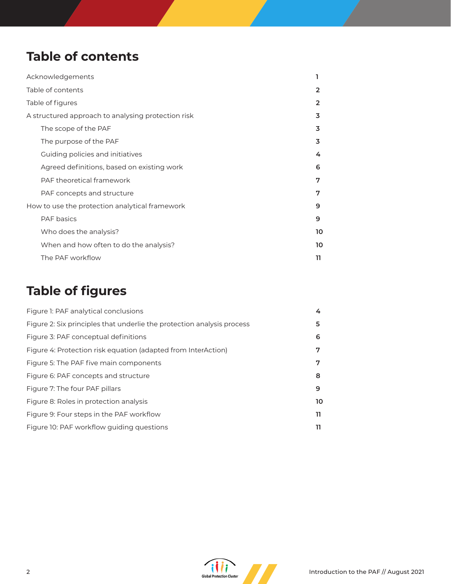## **Table of contents**

| Acknowledgements                                   |                                            |    |
|----------------------------------------------------|--------------------------------------------|----|
| Table of contents                                  |                                            | 2  |
| Table of figures                                   |                                            | 2  |
| A structured approach to analysing protection risk |                                            | 3  |
|                                                    | The scope of the PAF                       | 3  |
|                                                    | The purpose of the PAF                     | 3  |
|                                                    | Guiding policies and initiatives           | 4  |
|                                                    | Agreed definitions, based on existing work | 6  |
|                                                    | PAF theoretical framework                  | 7  |
|                                                    | PAF concepts and structure                 | 7  |
| How to use the protection analytical framework     |                                            | 9  |
|                                                    | <b>PAF</b> basics                          | 9  |
|                                                    | Who does the analysis?                     | 10 |
|                                                    | When and how often to do the analysis?     | 10 |
|                                                    | The PAF workflow                           | 11 |

## **Table of figures**

| Figure 1: PAF analytical conclusions                                   | 4  |
|------------------------------------------------------------------------|----|
| Figure 2: Six principles that underlie the protection analysis process | 5  |
| Figure 3: PAF conceptual definitions                                   | 6  |
| Figure 4: Protection risk equation (adapted from InterAction)          | 7  |
| Figure 5: The PAF five main components                                 | 7  |
| Figure 6: PAF concepts and structure                                   | 8  |
| Figure 7: The four PAF pillars                                         | 9  |
| Figure 8: Roles in protection analysis                                 | 10 |
| Figure 9: Four steps in the PAF workflow                               | 11 |
| Figure 10: PAF workflow quiding questions                              | 11 |

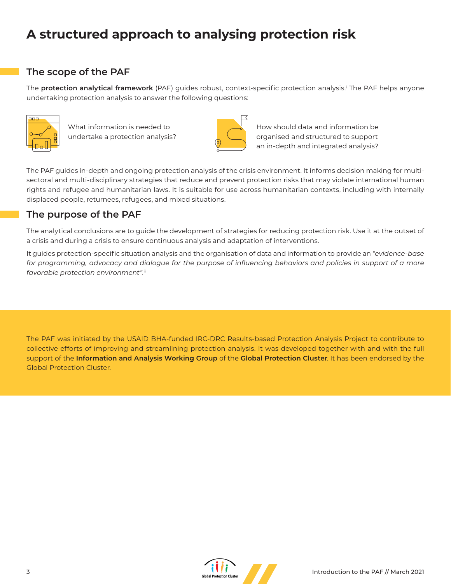## **A structured approach to analysing protection risk**

## **The scope of the PAF**

The **protection analytical framework** (PAF) guides robust, context-specific protection analysis.i The PAF helps anyone undertaking protection analysis to answer the following questions:



What information is needed to undertake a protection analysis?



How should data and information be organised and structured to support an in-depth and integrated analysis?

The PAF guides in-depth and ongoing protection analysis of the crisis environment. It informs decision making for multisectoral and multi-disciplinary strategies that reduce and prevent protection risks that may violate international human rights and refugee and humanitarian laws. It is suitable for use across humanitarian contexts, including with internally displaced people, returnees, refugees, and mixed situations.

## **The purpose of the PAF**

The analytical conclusions are to guide the development of strategies for reducing protection risk. Use it at the outset of a crisis and during a crisis to ensure continuous analysis and adaptation of interventions.

It guides protection-specific situation analysis and the organisation of data and information to provide an *"evidence-base*  for programming, advocacy and dialogue for the purpose of influencing behaviors and policies in support of a more *favorable protection environment".*ii

The PAF was initiated by the USAID BHA-funded IRC-DRC Results-based Protection Analysis Project to contribute to collective efforts of improving and streamlining protection analysis. It was developed together with and with the full support of the **Information and Analysis Working Group** of the **Global Protection Cluster**. It has been endorsed by the Global Protection Cluster.

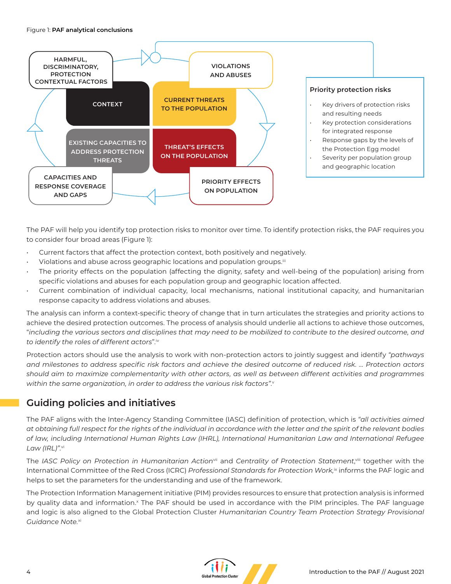

The PAF will help you identify top protection risks to monitor over time. To identify protection risks, the PAF requires you to consider four broad areas (Figure 1):

- Current factors that affect the protection context, both positively and negatively.
- Violations and abuse across geographic locations and population groups.<sup>iii</sup>
- The priority effects on the population (affecting the dignity, safety and well-being of the population) arising from specific violations and abuses for each population group and geographic location affected.
- Current combination of individual capacity, local mechanisms, national institutional capacity, and humanitarian response capacity to address violations and abuses.

The analysis can inform a context-specific theory of change that in turn articulates the strategies and priority actions to achieve the desired protection outcomes. The process of analysis should underlie all actions to achieve those outcomes, "*including the various sectors and disciplines that may need to be mobilized to contribute to the desired outcome, and to identify the roles of different actors*".iv

Protection actors should use the analysis to work with non-protection actors to jointly suggest and identify *"pathways and milestones to address specific risk factors and achieve the desired outcome of reduced risk. … Protection actors should aim to maximize complementarity with other actors, as well as between different activities and programmes within the same organization, in order to address the various risk factors".*<sup>v</sup>

## **Guiding policies and initiatives**

The PAF aligns with the Inter-Agency Standing Committee (IASC) definition of protection, which is *"all activities aimed at obtaining full respect for the rights of the individual in accordance with the letter and the spirit of the relevant bodies of law, including International Human Rights Law (IHRL), International Humanitarian Law and International Refugee Law (IRL)".*vi

The *IASC Policy on Protection in Humanitarian Action*vii and *Centrality of Protection Statement*, viii together with the International Committee of the Red Cross (ICRC) *Professional Standards for Protection Work*,<sup>ix</sup> informs the PAF logic and helps to set the parameters for the understanding and use of the framework.

The Protection Information Management initiative (PIM) provides resources to ensure that protection analysis is informed by quality data and information.<sup>x</sup> The PAF should be used in accordance with the PIM principles. The PAF language and logic is also aligned to the Global Protection Cluster *Humanitarian Country Team Protection Strategy Provisional Guidance Note.*xi

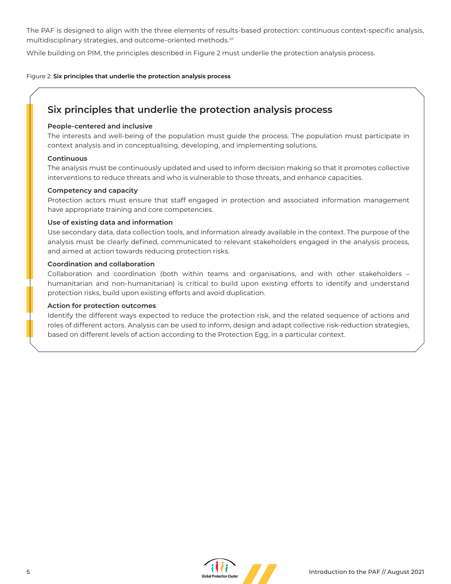The PAF is designed to align with the three elements of results-based protection: continuous context-specific analysis, multidisciplinary strategies, and outcome-oriented methods.xii

While building on PIM, the principles described in Figure 2 must underlie the protection analysis process.

Figure 2: **Six principles that underlie the protection analysis process**

## **Six principles that underlie the protection analysis process**

#### **People-centered and inclusive**

The interests and well-being of the population must guide the process. The population must participate in context analysis and in conceptualising, developing, and implementing solutions.

#### **Continuous**

The analysis must be continuously updated and used to inform decision making so that it promotes collective interventions to reduce threats and who is vulnerable to those threats, and enhance capacities.

#### **Competency and capacity**

Protection actors must ensure that staff engaged in protection and associated information management have appropriate training and core competencies.

#### **Use of existing data and information**

Use secondary data, data collection tools, and information already available in the context. The purpose of the analysis must be clearly defined, communicated to relevant stakeholders engaged in the analysis process, and aimed at action towards reducing protection risks.

#### **Coordination and collaboration**

Collaboration and coordination (both within teams and organisations, and with other stakeholders – humanitarian and non-humanitarian) is critical to build upon existing efforts to identify and understand protection risks, build upon existing efforts and avoid duplication.

#### **Action for protection outcomes**

Identify the different ways expected to reduce the protection risk, and the related sequence of actions and roles of different actors. Analysis can be used to inform, design and adapt collective risk-reduction strategies, based on different levels of action according to the Protection Egg, in a particular context.

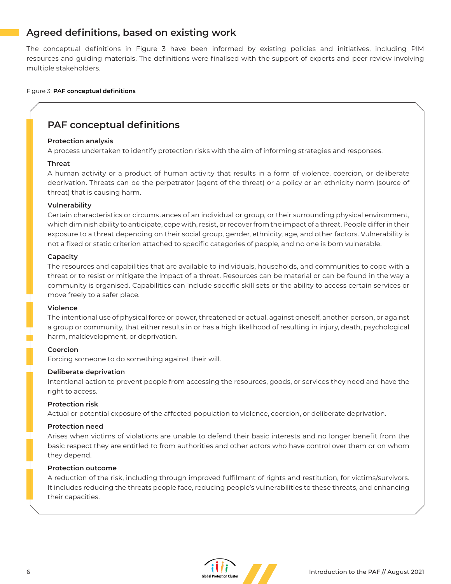## **Agreed definitions, based on existing work**

The conceptual definitions in Figure 3 have been informed by existing policies and initiatives, including PIM resources and guiding materials. The definitions were finalised with the support of experts and peer review involving multiple stakeholders.

#### Figure 3: **PAF conceptual definitions**

## **PAF conceptual definitions**

#### **Protection analysis**

A process undertaken to identify protection risks with the aim of informing strategies and responses.

#### **Threat**

A human activity or a product of human activity that results in a form of violence, coercion, or deliberate deprivation. Threats can be the perpetrator (agent of the threat) or a policy or an ethnicity norm (source of threat) that is causing harm.

#### **Vulnerability**

Certain characteristics or circumstances of an individual or group, or their surrounding physical environment, which diminish ability to anticipate, cope with, resist, or recover from the impact of a threat. People differ in their exposure to a threat depending on their social group, gender, ethnicity, age, and other factors. Vulnerability is not a fixed or static criterion attached to specific categories of people, and no one is born vulnerable.

#### **Capacity**

The resources and capabilities that are available to individuals, households, and communities to cope with a threat or to resist or mitigate the impact of a threat. Resources can be material or can be found in the way a community is organised. Capabilities can include specific skill sets or the ability to access certain services or move freely to a safer place.

#### **Violence**

The intentional use of physical force or power, threatened or actual, against oneself, another person, or against a group or community, that either results in or has a high likelihood of resulting in injury, death, psychological harm, maldevelopment, or deprivation.

#### **Coercion**

Forcing someone to do something against their will.

#### **Deliberate deprivation**

Intentional action to prevent people from accessing the resources, goods, or services they need and have the right to access.

#### **Protection risk**

Actual or potential exposure of the affected population to violence, coercion, or deliberate deprivation.

#### **Protection need**

Arises when victims of violations are unable to defend their basic interests and no longer benefit from the basic respect they are entitled to from authorities and other actors who have control over them or on whom they depend.

#### **Protection outcome**

A reduction of the risk, including through improved fulfilment of rights and restitution, for victims/survivors. It includes reducing the threats people face, reducing people's vulnerabilities to these threats, and enhancing their capacities.

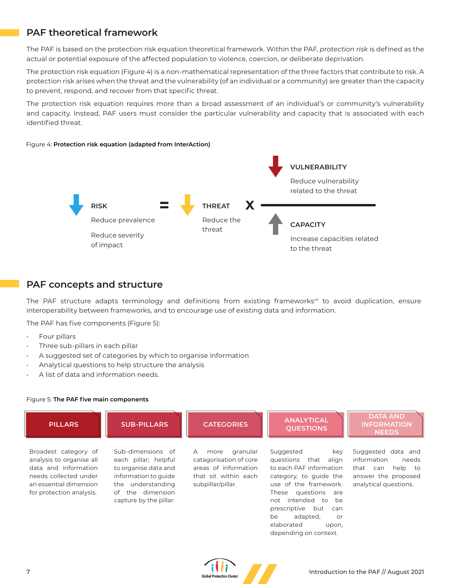## **PAF theoretical framework**

The PAF is based on the protection risk equation theoretical framework. Within the PAF, *protection risk* is defined as the actual or potential exposure of the affected population to violence, coercion, or deliberate deprivation.

The protection risk equation (Figure 4) is a non-mathematical representation of the three factors that contribute to risk. A protection risk arises when the threat and the vulnerability (of an individual or a community) are greater than the capacity to prevent, respond, and recover from that specific threat.

The protection risk equation requires more than a broad assessment of an individual's or community's vulnerability and capacity. Instead, PAF users must consider the particular vulnerability and capacity that is associated with each identified threat.

#### Figure 4: **Protection risk equation (adapted from InterAction)**



### **PAF concepts and structure**

The PAF structure adapts terminology and definitions from existing frameworks<sup>xii</sup> to avoid duplication, ensure interoperability between frameworks, and to encourage use of existing data and information.

The PAF has five components (Figure 5):

- Four pillars
- Three sub-pillars in each pillar
- A suggested set of categories by which to organise information
- Analytical questions to help structure the analysis
- A list of data and information needs.

#### Figure 5: **The PAF five main components**



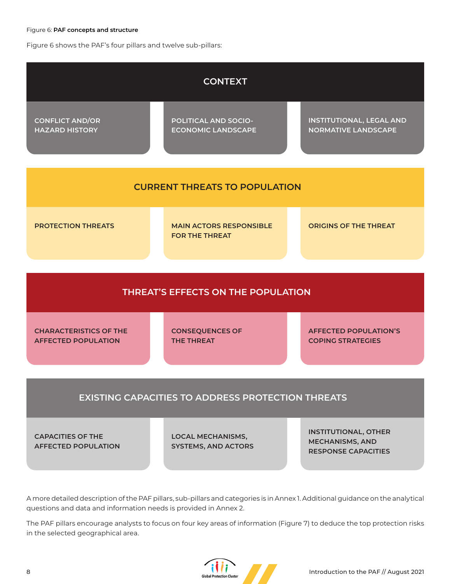#### Figure 6: **PAF concepts and structure**

Figure 6 shows the PAF's four pillars and twelve sub-pillars:



**EXISTING CAPACITIES TO ADDRESS PROTECTION THREATS**

**CAPACITIES OF THE AFFECTED POPULATION**

**LOCAL MECHANISMS, SYSTEMS, AND ACTORS** **INSTITUTIONAL, OTHER MECHANISMS, AND RESPONSE CAPACITIES**

A more detailed description of the PAF pillars, sub-pillars and categories is in Annex 1. Additional guidance on the analytical questions and data and information needs is provided in Annex 2.

The PAF pillars encourage analysts to focus on four key areas of information (Figure 7) to deduce the top protection risks in the selected geographical area.

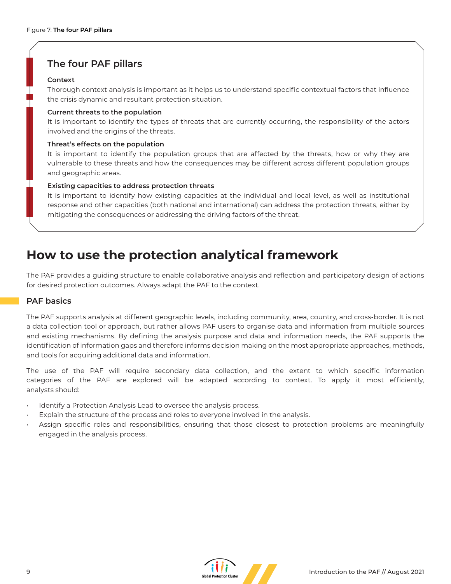### **The four PAF pillars**

#### **Context**

Thorough context analysis is important as it helps us to understand specific contextual factors that influence the crisis dynamic and resultant protection situation.

#### **Current threats to the population**

It is important to identify the types of threats that are currently occurring, the responsibility of the actors involved and the origins of the threats.

#### **Threat's effects on the population**

It is important to identify the population groups that are affected by the threats, how or why they are vulnerable to these threats and how the consequences may be different across different population groups and geographic areas.

#### **Existing capacities to address protection threats**

It is important to identify how existing capacities at the individual and local level, as well as institutional response and other capacities (both national and international) can address the protection threats, either by mitigating the consequences or addressing the driving factors of the threat.

## **How to use the protection analytical framework**

The PAF provides a guiding structure to enable collaborative analysis and reflection and participatory design of actions for desired protection outcomes. Always adapt the PAF to the context.

#### **PAF basics**

The PAF supports analysis at different geographic levels, including community, area, country, and cross-border. It is not a data collection tool or approach, but rather allows PAF users to organise data and information from multiple sources and existing mechanisms. By defining the analysis purpose and data and information needs, the PAF supports the identification of information gaps and therefore informs decision making on the most appropriate approaches, methods, and tools for acquiring additional data and information.

The use of the PAF will require secondary data collection, and the extent to which specific information categories of the PAF are explored will be adapted according to context. To apply it most efficiently, analysts should:

- Identify a Protection Analysis Lead to oversee the analysis process.
- Explain the structure of the process and roles to everyone involved in the analysis.
- Assign specific roles and responsibilities, ensuring that those closest to protection problems are meaningfully engaged in the analysis process.

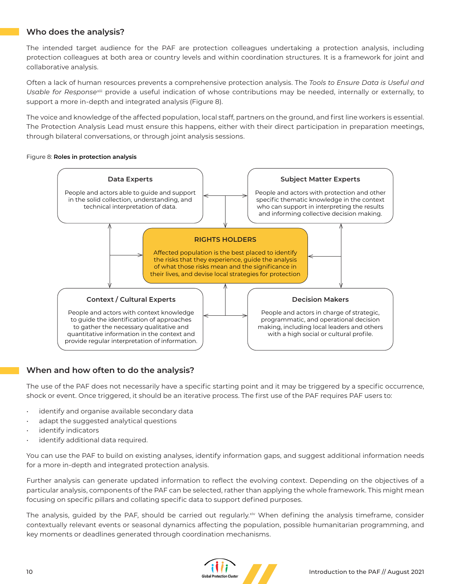### **Who does the analysis?**

The intended target audience for the PAF are protection colleagues undertaking a protection analysis, including protection colleagues at both area or country levels and within coordination structures. It is a framework for joint and collaborative analysis.

Often a lack of human resources prevents a comprehensive protection analysis. The *Tools to Ensure Data is Useful and Usable for Response*xiii provide a useful indication of whose contributions may be needed, internally or externally, to support a more in-depth and integrated analysis (Figure 8).

The voice and knowledge of the affected population, local staff, partners on the ground, and first line workers is essential. The Protection Analysis Lead must ensure this happens, either with their direct participation in preparation meetings, through bilateral conversations, or through joint analysis sessions.

#### Figure 8: **Roles in protection analysis**



### **When and how often to do the analysis?**

The use of the PAF does not necessarily have a specific starting point and it may be triggered by a specific occurrence, shock or event. Once triggered, it should be an iterative process. The first use of the PAF requires PAF users to:

- identify and organise available secondary data
- adapt the suggested analytical questions
- identify indicators
- identify additional data required.

You can use the PAF to build on existing analyses, identify information gaps, and suggest additional information needs for a more in-depth and integrated protection analysis.

Further analysis can generate updated information to reflect the evolving context. Depending on the objectives of a particular analysis, components of the PAF can be selected, rather than applying the whole framework. This might mean focusing on specific pillars and collating specific data to support defined purposes.

The analysis, guided by the PAF, should be carried out regularly.<sup>xiv</sup> When defining the analysis timeframe, consider contextually relevant events or seasonal dynamics affecting the population, possible humanitarian programming, and key moments or deadlines generated through coordination mechanisms.

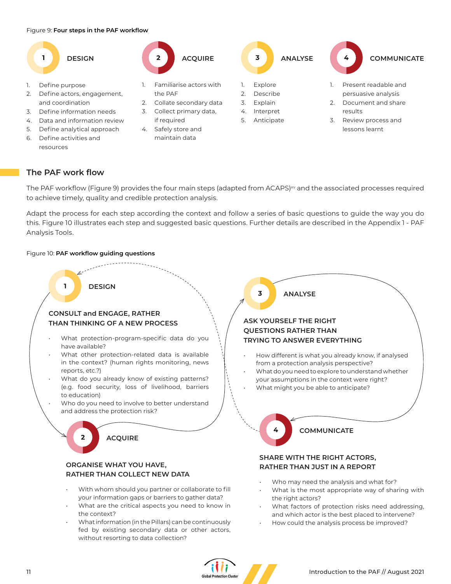#### Figure 9: **Four steps in the PAF workflow**



- 1. Define purpose
- 2. Define actors, engagement, and coordination
- 3. Define information needs
- 4. Data and information review
- 5. Define analytical approach
- 6. Define activities and resources



- 1. Familiarise actors with the PAF
- 2. Collate secondary data
- 3. Collect primary data, if required
- 4. Safely store and maintain data





- 1. Present readable and persuasive analysis
- 2. Document and share
- 3. Review process and lessons learnt

#### **The PAF work flow**

The PAF workflow (Figure 9) provides the four main steps (adapted from ACAPS)<sup>xv</sup> and the associated processes required to achieve timely, quality and credible protection analysis.

Adapt the process for each step according the context and follow a series of basic questions to guide the way you do this. Figure 10 illustrates each step and suggested basic questions. Further details are described in the Appendix 1 - PAF Analysis Tools.

#### Figure 10: **PAF workflow guiding questions**

without resorting to data collection?